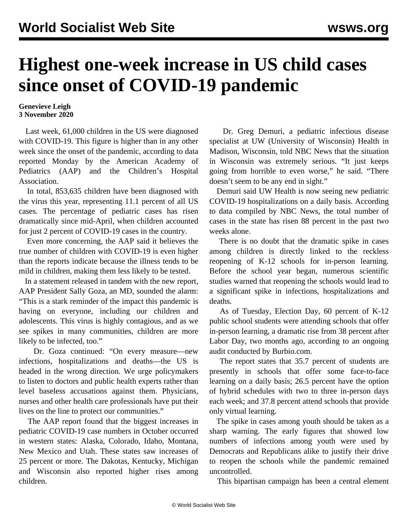## **Highest one-week increase in US child cases since onset of COVID-19 pandemic**

## **Genevieve Leigh 3 November 2020**

 Last week, 61,000 children in the US were diagnosed with COVID-19. This figure is higher than in any other week since the onset of the pandemic, according to data [reported](https://services.aap.org/en/pages/2019-novel-coronavirus-covid-19-infections/children-and-covid-19-state-level-data-report/) Monday by the American Academy of Pediatrics (AAP) and the Children's Hospital Association.

 In total, 853,635 children have been diagnosed with the virus this year, representing 11.1 percent of all US cases. The percentage of pediatric cases has risen dramatically since mid-April, when children accounted for just 2 percent of COVID-19 cases in the country.

 Even more concerning, the AAP said it believes the true number of children with COVID-19 is even higher than the reports indicate because the illness tends to be mild in children, making them less likely to be tested.

 In a statement released in tandem with the new report, AAP President Sally Goza, an MD, sounded the alarm: "This is a stark reminder of the impact this pandemic is having on everyone, including our children and adolescents. This virus is highly contagious, and as we see spikes in many communities, children are more likely to be infected, too."

 Dr. Goza continued: "On every measure—new infections, hospitalizations and deaths—the US is headed in the wrong direction. We urge policymakers to listen to doctors and public health experts rather than level baseless accusations against them. Physicians, nurses and other health care professionals have put their lives on the line to protect our communities."

 The AAP report found that the biggest increases in pediatric COVID-19 case numbers in October occurred in western states: Alaska, Colorado, Idaho, Montana, New Mexico and Utah. These states saw increases of 25 percent or more. The Dakotas, Kentucky, Michigan and Wisconsin also reported higher rises among children.

 Dr. Greg Demuri, a pediatric infectious disease specialist at UW (University of Wisconsin) Health in Madison, Wisconsin, told NBC News that the situation in Wisconsin was extremely serious. "It just keeps going from horrible to even worse," he said. "There doesn't seem to be any end in sight."

 Demuri said UW Health is now seeing new pediatric COVID-19 hospitalizations on a daily basis. According to data compiled by NBC News, the total number of cases in the state has risen 88 percent in the past two weeks alone.

 There is no doubt that the dramatic spike in cases among children is directly linked to the reckless reopening of K-12 schools for in-person learning. Before the school year began, numerous [scientific](/en/articles/2020/08/12/pers-a12.html) [studies warned](/en/articles/2020/08/12/pers-a12.html) that reopening the schools would lead to a significant spike in infections, hospitalizations and deaths.

 As of Tuesday, Election Day, 60 percent of K-12 public school students were attending schools that offer in-person learning, a dramatic rise from 38 percent after Labor Day, two months ago, according to an ongoing audit conducted by Burbio.com.

 The report states that 35.7 percent of students are presently in schools that offer some face-to-face learning on a daily basis; 26.5 percent have the option of hybrid schedules with two to three in-person days each week; and 37.8 percent attend schools that provide only virtual learning.

 The spike in cases among youth should be taken as a sharp warning. The early figures that showed low numbers of infections among youth were used by Democrats and Republicans alike to justify their drive to reopen the schools while the pandemic remained uncontrolled.

This bipartisan campaign has been a central element